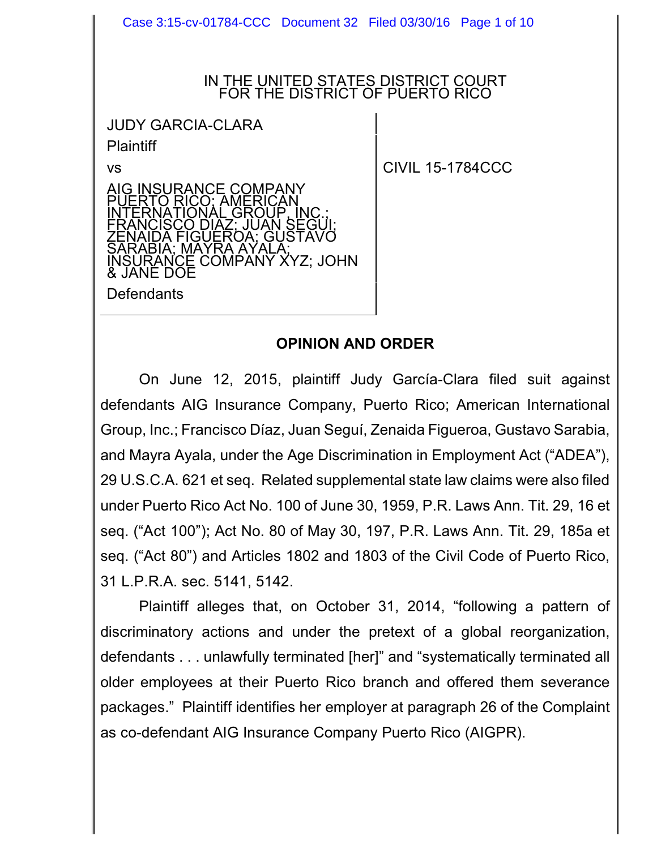Case 3:15-cv-01784-CCC Document 32 Filed 03/30/16 Page 1 of 10

#### IN THE UNITED STATES DISTRICT COURT FOR THE DISTRICT OF PUERTO RICO

JUDY GARCIA-CLARA **Plaintiff** 

INSURANCE COMPANY

INTERNATIONAL GROUP, INC.; FRANCISCO DIAZ; JUAN SEGUI; ZENAIDA FIGUEROA; GUSTAVO

SARABIA; MAYRA AYALA;

TIONAL GROUP. INC

INSURANCE COMPANY XYZ; JOHN

vs and contract the contract of CIVIL 15-1784CCC

**Defendants** 

& JANE DOE

### **OPINION AND ORDER**

On June 12, 2015, plaintiff Judy García-Clara filed suit against defendants AIG Insurance Company, Puerto Rico; American International Group, Inc.; Francisco Díaz, Juan Seguí, Zenaida Figueroa, Gustavo Sarabia, and Mayra Ayala, under the Age Discrimination in Employment Act ("ADEA"), 29 U.S.C.A. 621 et seq. Related supplemental state law claims were also filed under Puerto Rico Act No. 100 of June 30, 1959, P.R. Laws Ann. Tit. 29, 16 et seq. ("Act 100"); Act No. 80 of May 30, 197, P.R. Laws Ann. Tit. 29, 185a et seq. ("Act 80") and Articles 1802 and 1803 of the Civil Code of Puerto Rico, 31 L.P.R.A. sec. 5141, 5142.

Plaintiff alleges that, on October 31, 2014, "following a pattern of discriminatory actions and under the pretext of a global reorganization, defendants . . . unlawfully terminated [her]" and "systematically terminated all older employees at their Puerto Rico branch and offered them severance packages." Plaintiff identifies her employer at paragraph 26 of the Complaint as co-defendant AIG Insurance Company Puerto Rico (AIGPR).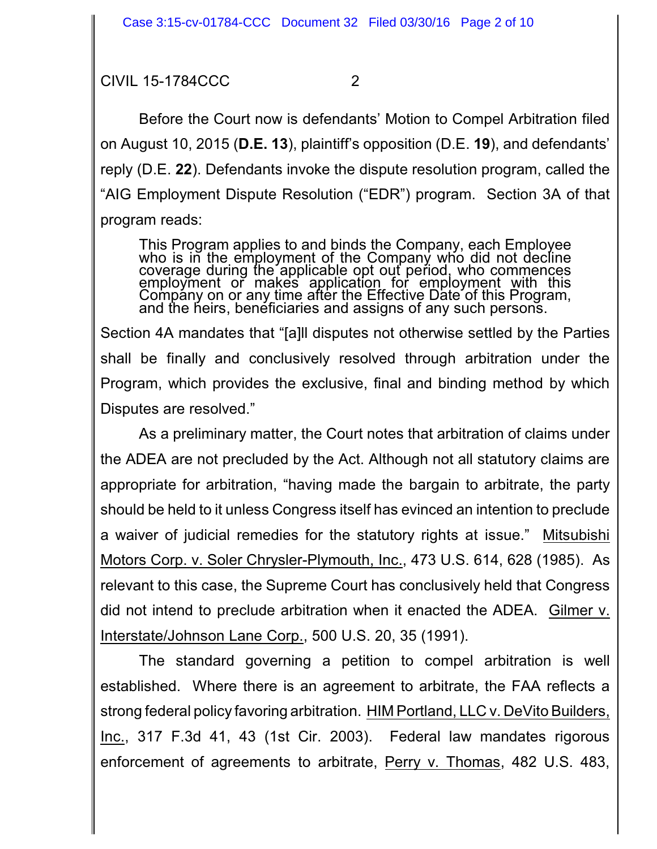Before the Court now is defendants' Motion to Compel Arbitration filed on August 10, 2015 (**D.E. 13**), plaintiff's opposition (D.E. **19**), and defendants' reply (D.E. **22**). Defendants invoke the dispute resolution program, called the "AIG Employment Dispute Resolution ("EDR") program. Section 3A of that program reads:

This Program applies to and binds the Company, each Employee who is in the employment of the Company who did not decline coverage during the applicable opt out period, who commences employment or makes application for employment with this Company on or any time after the Effective Date of this Program, and the heirs, benéficiaries and assigns of any such persons.

Section 4A mandates that "[a]ll disputes not otherwise settled by the Parties shall be finally and conclusively resolved through arbitration under the Program, which provides the exclusive, final and binding method by which Disputes are resolved."

As a preliminary matter, the Court notes that arbitration of claims under the ADEA are not precluded by the Act. Although not all statutory claims are appropriate for arbitration, "having made the bargain to arbitrate, the party should be held to it unless Congress itself has evinced an intention to preclude a waiver of judicial remedies for the statutory rights at issue." Mitsubishi Motors Corp. v. Soler Chrysler-Plymouth, Inc., 473 U.S. 614, 628 (1985). As relevant to this case, the Supreme Court has conclusively held that Congress did not intend to preclude arbitration when it enacted the ADEA. Gilmer v. Interstate/Johnson Lane Corp., 500 U.S. 20, 35 (1991).

The standard governing a petition to compel arbitration is well established. Where there is an agreement to arbitrate, the FAA reflects a strong federal policy favoring arbitration. HIM Portland, LLC v. DeVito Builders, Inc., 317 F.3d 41, 43 (1st Cir. 2003). Federal law mandates rigorous enforcement of agreements to arbitrate, Perry v. Thomas, 482 U.S. 483,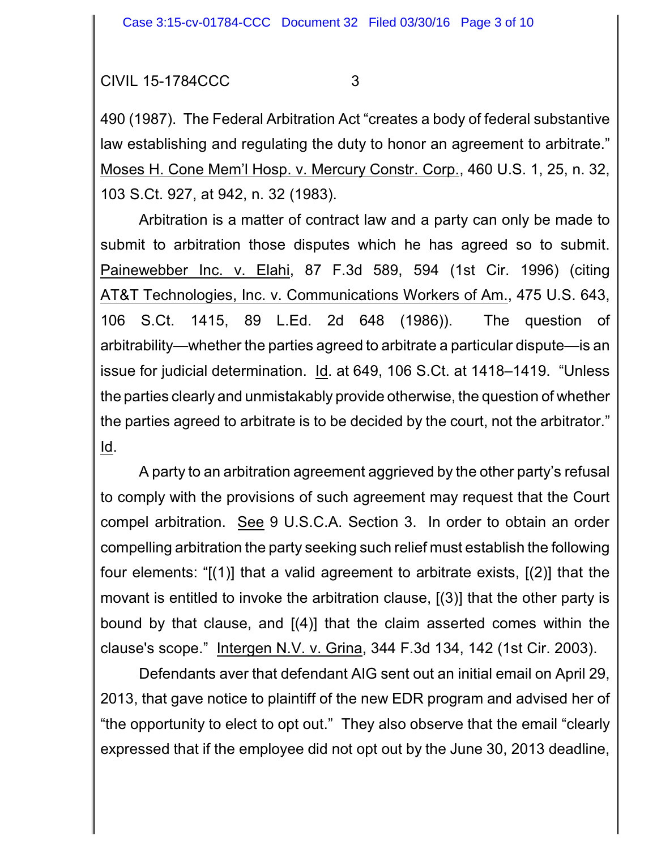490 (1987). The Federal Arbitration Act "creates a body of federal substantive law establishing and regulating the duty to honor an agreement to arbitrate." Moses H. Cone Mem'l Hosp. v. Mercury Constr. Corp., 460 U.S. 1, 25, n. 32, 103 S.Ct. 927, at 942, n. 32 (1983).

Arbitration is a matter of contract law and a party can only be made to submit to arbitration those disputes which he has agreed so to submit. Painewebber Inc. v. Elahi, 87 F.3d 589, 594 (1st Cir. 1996) (citing AT&T Technologies, Inc. v. Communications Workers of Am., 475 U.S. 643, 106 S.Ct. 1415, 89 L.Ed. 2d 648 (1986)). The question of arbitrability—whether the parties agreed to arbitrate a particular dispute—is an issue for judicial determination. Id. at 649, 106 S.Ct. at 1418–1419. "Unless the parties clearly and unmistakably provide otherwise, the question of whether the parties agreed to arbitrate is to be decided by the court, not the arbitrator." Id.

A party to an arbitration agreement aggrieved by the other party's refusal to comply with the provisions of such agreement may request that the Court compel arbitration. See 9 U.S.C.A. Section 3. In order to obtain an order compelling arbitration the party seeking such relief must establish the following four elements: "[(1)] that a valid agreement to arbitrate exists, [(2)] that the movant is entitled to invoke the arbitration clause, [(3)] that the other party is bound by that clause, and [(4)] that the claim asserted comes within the clause's scope." Intergen N.V. v. Grina, 344 F.3d 134, 142 (1st Cir. 2003).

Defendants aver that defendant AIG sent out an initial email on April 29, 2013, that gave notice to plaintiff of the new EDR program and advised her of "the opportunity to elect to opt out." They also observe that the email "clearly expressed that if the employee did not opt out by the June 30, 2013 deadline,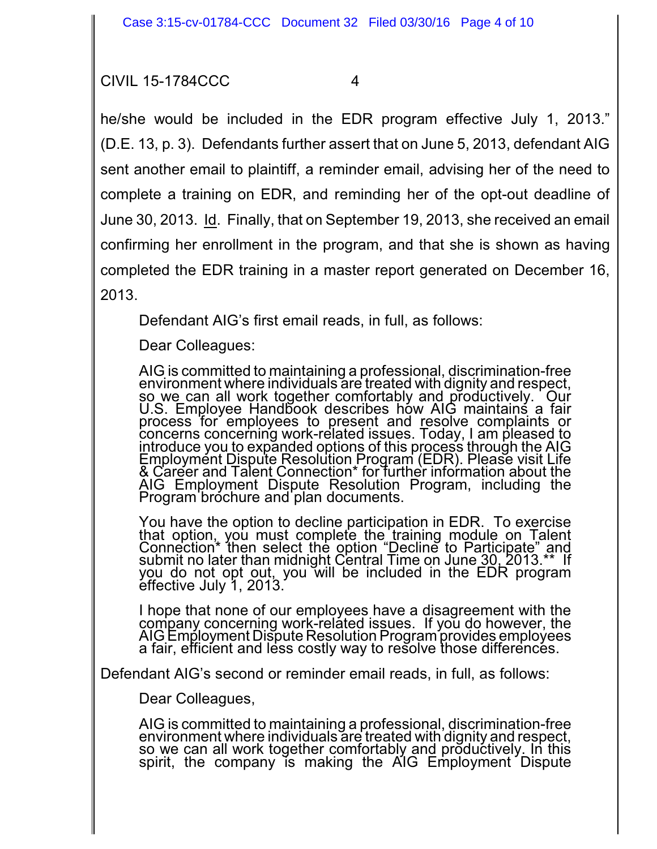he/she would be included in the EDR program effective July 1, 2013." (D.E. 13, p. 3). Defendants further assert that on June 5, 2013, defendant AIG sent another email to plaintiff, a reminder email, advising her of the need to complete a training on EDR, and reminding her of the opt-out deadline of June 30, 2013. Id. Finally, that on September 19, 2013, she received an email confirming her enrollment in the program, and that she is shown as having completed the EDR training in a master report generated on December 16, 2013.

Defendant AIG's first email reads, in full, as follows:

Dear Colleagues:

AIG is committed to maintaining a professional, discrimination-free environment where individuals are treated with dignity and respect, so we can all work together comfortably and productively. Our U.S. Employee Handbook describes how AIG maintains a fair process for employees to present and resolve complaints or concerns concerning work-related issues. Today, I am pleased to introduce you to expanded options of this process through the AIG Employment Dispute Resolution Program (EDR). Please visit Life & Career and Talent Connection\* for further information about the AIG Employment Dispute Resolution Program, including the Program brochure and plan documents.

You have the option to decline participation in EDR. To exercise that option, you must complete the training module on Talent Connection\* then select the option "Decline to Participate" and submit no later than midnight Central Time on June 30, 2013.\*\* If you do not opt out, you will be included in the EDR program effective July 1, 2013.

I hope that none of our employees have a disagreement with the company concerning work-related issues. If you do however, the AIG Employment Dispute Resolution Program provides employees a fair, efficient and less costly way to resolve those differences.

Defendant AIG's second or reminder email reads, in full, as follows:

Dear Colleagues,

AIG is committed to maintaining a professional, discrimination-free environment where individuals are treated with dignity and respect, so we can all work together comfortably and productively. In this spirit, the company is making the AIG Employment Dispute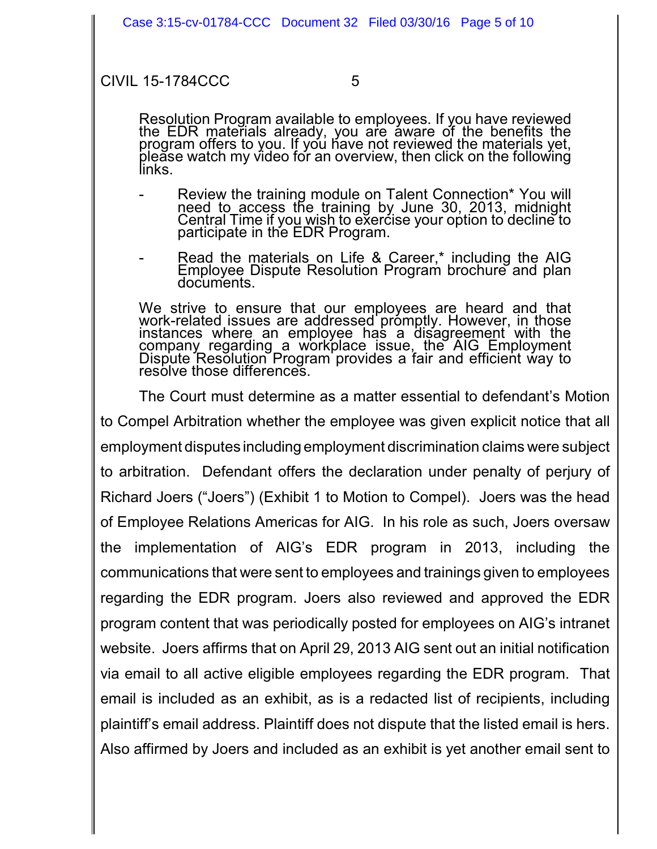Resolution Program available to employees. If you have reviewed the EDR materials already, you are aware of the benefits the program offers to you. If you have not reviewed the materials yet, please watch my video for an overview, then click on the following links.

- Review the training module on Talent Connection\* You will need to access the training by June 30, 2013, midnight Central Time if yo<u>u wish</u> to exercise your option to decline to participate in the EDR Program.
- Read the materials on Life & Career,\* including the AIG Employee Dispute Resolution Program brochure and plan documents.

We strive to ensure that our employees are heard and that work-related issues are addressed promptly. However, in those instances where an employee has a disagreement with the company regarding a workplace issue, the AIG Employment Dispute Resolution Program provides a fair and efficient way to resolve those differences.

The Court must determine as a matter essential to defendant's Motion to Compel Arbitration whether the employee was given explicit notice that all employment disputes including employment discrimination claims were subject to arbitration. Defendant offers the declaration under penalty of perjury of Richard Joers ("Joers") (Exhibit 1 to Motion to Compel). Joers was the head of Employee Relations Americas for AIG. In his role as such, Joers oversaw the implementation of AIG's EDR program in 2013, including the communications that were sent to employees and trainings given to employees regarding the EDR program. Joers also reviewed and approved the EDR program content that was periodically posted for employees on AIG's intranet website. Joers affirms that on April 29, 2013 AIG sent out an initial notification via email to all active eligible employees regarding the EDR program. That email is included as an exhibit, as is a redacted list of recipients, including plaintiff's email address. Plaintiff does not dispute that the listed email is hers. Also affirmed by Joers and included as an exhibit is yet another email sent to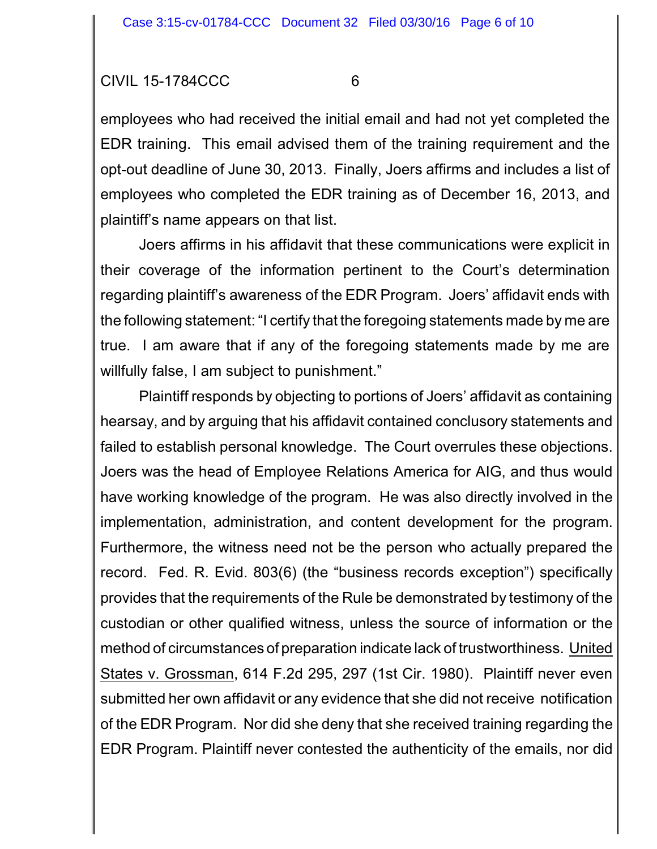employees who had received the initial email and had not yet completed the EDR training. This email advised them of the training requirement and the opt-out deadline of June 30, 2013. Finally, Joers affirms and includes a list of employees who completed the EDR training as of December 16, 2013, and plaintiff's name appears on that list.

Joers affirms in his affidavit that these communications were explicit in their coverage of the information pertinent to the Court's determination regarding plaintiff's awareness of the EDR Program. Joers' affidavit ends with the following statement: "I certify that the foregoing statements made by me are true. I am aware that if any of the foregoing statements made by me are willfully false, I am subject to punishment."

Plaintiff responds by objecting to portions of Joers' affidavit as containing hearsay, and by arguing that his affidavit contained conclusory statements and failed to establish personal knowledge. The Court overrules these objections. Joers was the head of Employee Relations America for AIG, and thus would have working knowledge of the program. He was also directly involved in the implementation, administration, and content development for the program. Furthermore, the witness need not be the person who actually prepared the record. Fed. R. Evid. 803(6) (the "business records exception") specifically provides that the requirements of the Rule be demonstrated by testimony of the custodian or other qualified witness, unless the source of information or the method of circumstances of preparation indicate lack of trustworthiness. United States v. Grossman, 614 F.2d 295, 297 (1st Cir. 1980). Plaintiff never even submitted her own affidavit or any evidence that she did not receive notification of the EDR Program. Nor did she deny that she received training regarding the EDR Program. Plaintiff never contested the authenticity of the emails, nor did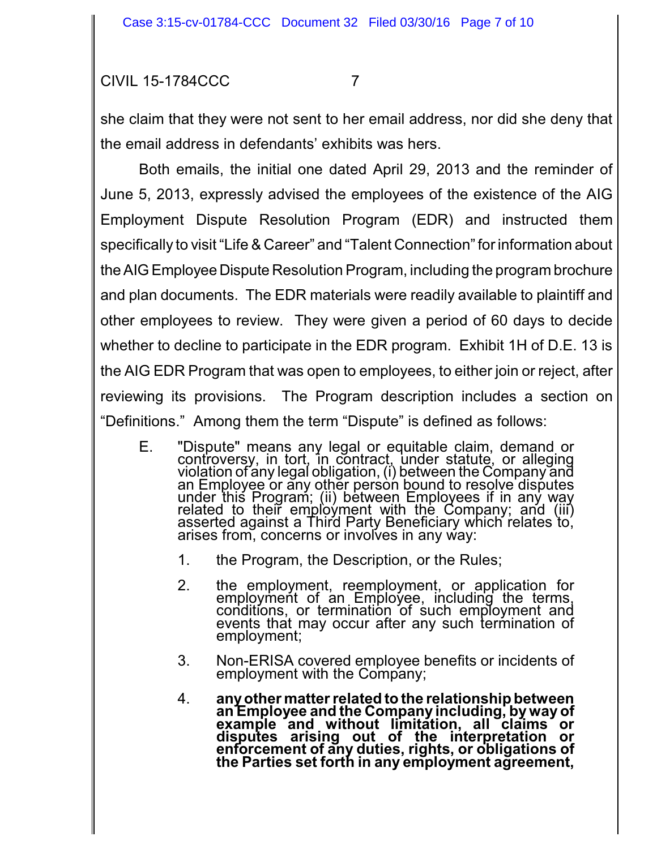she claim that they were not sent to her email address, nor did she deny that the email address in defendants' exhibits was hers.

Both emails, the initial one dated April 29, 2013 and the reminder of June 5, 2013, expressly advised the employees of the existence of the AIG Employment Dispute Resolution Program (EDR) and instructed them specifically to visit "Life & Career" and "Talent Connection" for information about the AIG Employee Dispute Resolution Program, including the program brochure and plan documents. The EDR materials were readily available to plaintiff and other employees to review. They were given a period of 60 days to decide whether to decline to participate in the EDR program. Exhibit 1H of D.E. 13 is the AIG EDR Program that was open to employees, to either join or reject, after reviewing its provisions. The Program description includes a section on "Definitions." Among them the term "Dispute" is defined as follows:

- E. "Dispute" means any legal or equitable claim, demand or controversy, in tort, in contract, under statute, or alleging violation of any legal obligation, (i) between the Company and an Employee or any other person bound to resolve disputes under this Program; (ii) between Employees if in any way related to their employment with the Company; and (iii) asserted against a Third Party Beneficiary which relates to, arises from, concerns or involves in any way:
	- 1. the Program, the Description, or the Rules;
	- 2. the employment, reemployment, or application for employment of an Employee, including the terms, conditions, or termination of such employment and events that may occur after any such termination of employment;
	- 3. Non-ERISA covered employee benefits or incidents of employment with the Company;
	- 4. **anyother matterrelated to the relationship between an Employee and the Company including, byway of example and without limitation, all claims or disputes arising out of the interpretation or enforcement of any duties, rights, or obligations of the Parties set forth in any employment agreement,**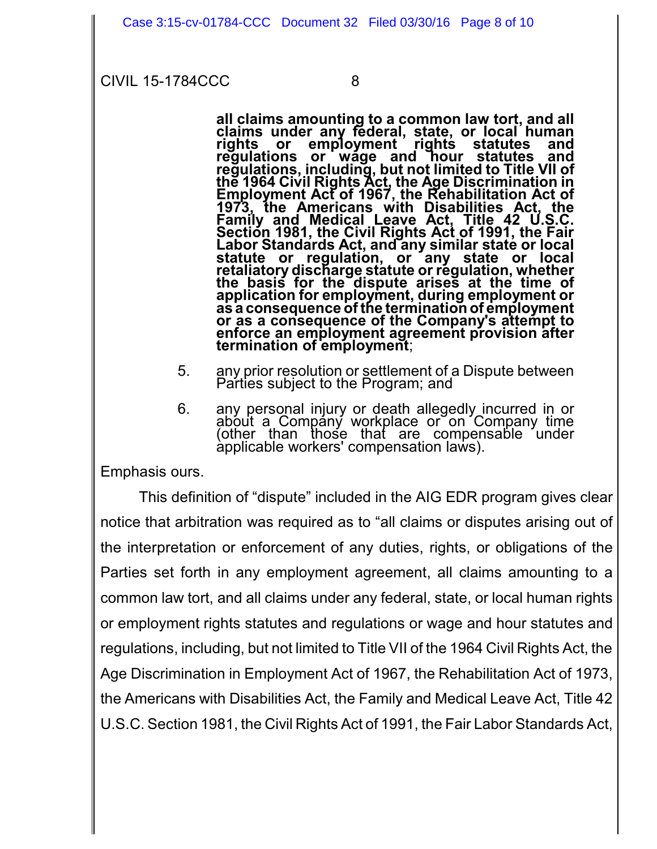**all claims amounting to a common law tort, and all claims under any federal, state, or local human rights or employment rights statutes and regulations or wage and hour statutes and regulations, including, but not limited to Title VII of the 1964 Civil Rights Act, the Age Discrimination in Employment Act of 1967, the Rehabilitation Act of 1973, the Americans with Disabilities Act, the Family and Medical Leave Act, Title 42 U.S.C. Section 1981, the Civil Rights Act of 1991, the Fair Labor Standards Act, and any similar state or local statute or regulation, or any state or local retaliatory discharge statute or regulation, whether the basis for the dispute arises at the time of application for employment, during employment or as a consequence of the termination of employment or as a consequence of the Company's attempt to enforce an employment agreement provision after termination of employment**;

- 5. any prior resolution or settlement of a Dispute between Parties subject to the Program; and
- 6. any personal injury or death allegedly incurred in or about a Company workplace or on Company time (other than those that are compensable under applicable workers' compensation laws).

Emphasis ours.

This definition of "dispute" included in the AIG EDR program gives clear notice that arbitration was required as to "all claims or disputes arising out of the interpretation or enforcement of any duties, rights, or obligations of the Parties set forth in any employment agreement, all claims amounting to a common law tort, and all claims under any federal, state, or local human rights or employment rights statutes and regulations or wage and hour statutes and regulations, including, but not limited to Title VII of the 1964 Civil Rights Act, the Age Discrimination in Employment Act of 1967, the Rehabilitation Act of 1973, the Americans with Disabilities Act, the Family and Medical Leave Act, Title 42 U.S.C. Section 1981, the Civil Rights Act of 1991, the Fair Labor Standards Act,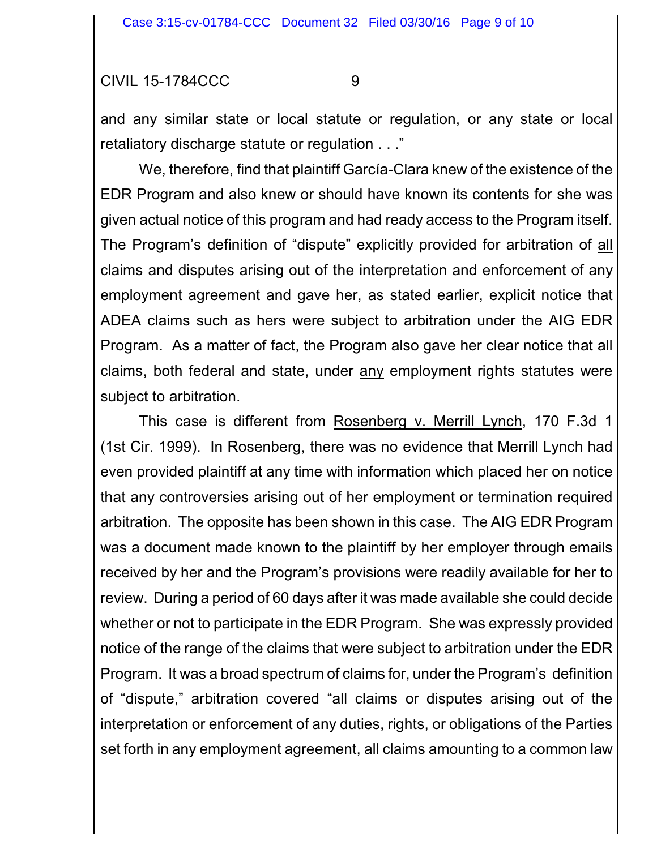and any similar state or local statute or regulation, or any state or local retaliatory discharge statute or regulation . . ."

We, therefore, find that plaintiff García-Clara knew of the existence of the EDR Program and also knew or should have known its contents for she was given actual notice of this program and had ready access to the Program itself. The Program's definition of "dispute" explicitly provided for arbitration of all claims and disputes arising out of the interpretation and enforcement of any employment agreement and gave her, as stated earlier, explicit notice that ADEA claims such as hers were subject to arbitration under the AIG EDR Program. As a matter of fact, the Program also gave her clear notice that all claims, both federal and state, under any employment rights statutes were subject to arbitration.

This case is different from Rosenberg v. Merrill Lynch, 170 F.3d 1 (1st Cir. 1999). In Rosenberg, there was no evidence that Merrill Lynch had even provided plaintiff at any time with information which placed her on notice that any controversies arising out of her employment or termination required arbitration. The opposite has been shown in this case. The AIG EDR Program was a document made known to the plaintiff by her employer through emails received by her and the Program's provisions were readily available for her to review. During a period of 60 days after it was made available she could decide whether or not to participate in the EDR Program. She was expressly provided notice of the range of the claims that were subject to arbitration under the EDR Program. It was a broad spectrum of claims for, under the Program's definition of "dispute," arbitration covered "all claims or disputes arising out of the interpretation or enforcement of any duties, rights, or obligations of the Parties set forth in any employment agreement, all claims amounting to a common law